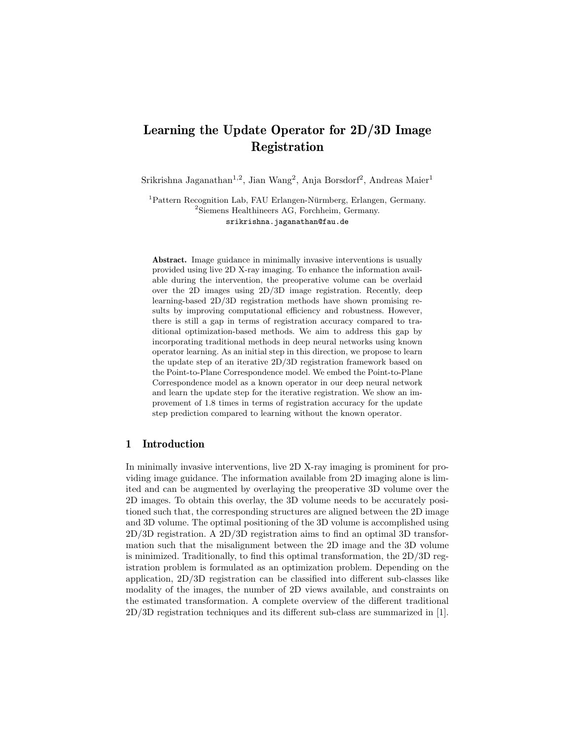# Learning the Update Operator for 2D/3D Image Registration

Srikrishna Jaganathan<sup>1,2</sup>, Jian Wang<sup>2</sup>, Anja Borsdorf<sup>2</sup>, Andreas Maier<sup>1</sup>

 $1$ Pattern Recognition Lab, FAU Erlangen-Nürmberg, Erlangen, Germany. <sup>2</sup>Siemens Healthineers AG, Forchheim, Germany. srikrishna.jaganathan@fau.de

Abstract. Image guidance in minimally invasive interventions is usually provided using live 2D X-ray imaging. To enhance the information available during the intervention, the preoperative volume can be overlaid over the 2D images using 2D/3D image registration. Recently, deep learning-based 2D/3D registration methods have shown promising results by improving computational efficiency and robustness. However, there is still a gap in terms of registration accuracy compared to traditional optimization-based methods. We aim to address this gap by incorporating traditional methods in deep neural networks using known operator learning. As an initial step in this direction, we propose to learn the update step of an iterative 2D/3D registration framework based on the Point-to-Plane Correspondence model. We embed the Point-to-Plane Correspondence model as a known operator in our deep neural network and learn the update step for the iterative registration. We show an improvement of 1.8 times in terms of registration accuracy for the update step prediction compared to learning without the known operator.

## 1 Introduction

In minimally invasive interventions, live 2D X-ray imaging is prominent for providing image guidance. The information available from 2D imaging alone is limited and can be augmented by overlaying the preoperative 3D volume over the 2D images. To obtain this overlay, the 3D volume needs to be accurately positioned such that, the corresponding structures are aligned between the 2D image and 3D volume. The optimal positioning of the 3D volume is accomplished using 2D/3D registration. A 2D/3D registration aims to find an optimal 3D transformation such that the misalignment between the 2D image and the 3D volume is minimized. Traditionally, to find this optimal transformation, the 2D/3D registration problem is formulated as an optimization problem. Depending on the application, 2D/3D registration can be classified into different sub-classes like modality of the images, the number of 2D views available, and constraints on the estimated transformation. A complete overview of the different traditional 2D/3D registration techniques and its different sub-class are summarized in [1].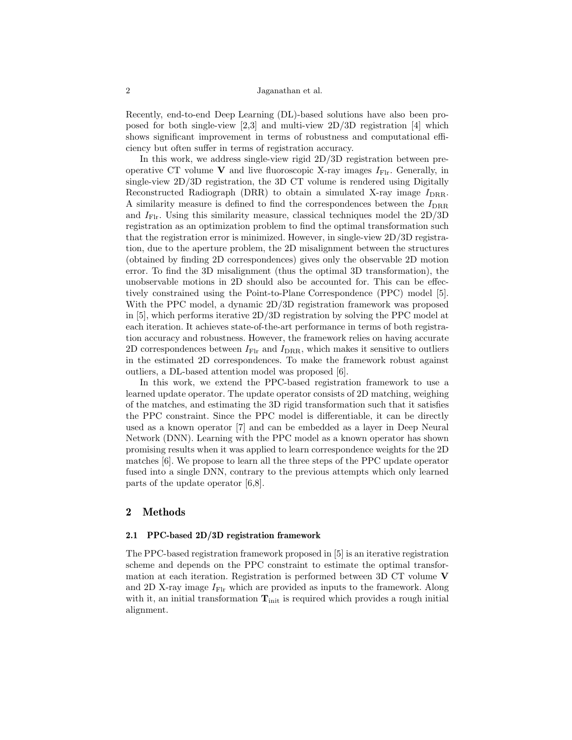Recently, end-to-end Deep Learning (DL)-based solutions have also been proposed for both single-view [2,3] and multi-view 2D/3D registration [4] which shows significant improvement in terms of robustness and computational efficiency but often suffer in terms of registration accuracy.

In this work, we address single-view rigid 2D/3D registration between preoperative CT volume V and live fluoroscopic X-ray images  $I_{\text{FIr}}$ . Generally, in single-view 2D/3D registration, the 3D CT volume is rendered using Digitally Reconstructed Radiograph (DRR) to obtain a simulated X-ray image  $I_{\text{DRR}}$ . A similarity measure is defined to find the correspondences between the  $I_{\text{DRR}}$ and  $I_{\text{Flr}}$ . Using this similarity measure, classical techniques model the  $2D/3D$ registration as an optimization problem to find the optimal transformation such that the registration error is minimized. However, in single-view 2D/3D registration, due to the aperture problem, the 2D misalignment between the structures (obtained by finding 2D correspondences) gives only the observable 2D motion error. To find the 3D misalignment (thus the optimal 3D transformation), the unobservable motions in 2D should also be accounted for. This can be effectively constrained using the Point-to-Plane Correspondence (PPC) model [5]. With the PPC model, a dynamic 2D/3D registration framework was proposed in [5], which performs iterative  $2D/3D$  registration by solving the PPC model at each iteration. It achieves state-of-the-art performance in terms of both registration accuracy and robustness. However, the framework relies on having accurate 2D correspondences between  $I_{\text{Flr}}$  and  $I_{\text{DRR}}$ , which makes it sensitive to outliers in the estimated 2D correspondences. To make the framework robust against outliers, a DL-based attention model was proposed [6].

In this work, we extend the PPC-based registration framework to use a learned update operator. The update operator consists of 2D matching, weighing of the matches, and estimating the 3D rigid transformation such that it satisfies the PPC constraint. Since the PPC model is differentiable, it can be directly used as a known operator [7] and can be embedded as a layer in Deep Neural Network (DNN). Learning with the PPC model as a known operator has shown promising results when it was applied to learn correspondence weights for the 2D matches [6]. We propose to learn all the three steps of the PPC update operator fused into a single DNN, contrary to the previous attempts which only learned parts of the update operator [6,8].

#### 2 Methods

#### 2.1 PPC-based 2D/3D registration framework

The PPC-based registration framework proposed in [5] is an iterative registration scheme and depends on the PPC constraint to estimate the optimal transformation at each iteration. Registration is performed between 3D CT volume V and 2D X-ray image  $I_{\text{Flr}}$  which are provided as inputs to the framework. Along with it, an initial transformation  $T_{\text{init}}$  is required which provides a rough initial alignment.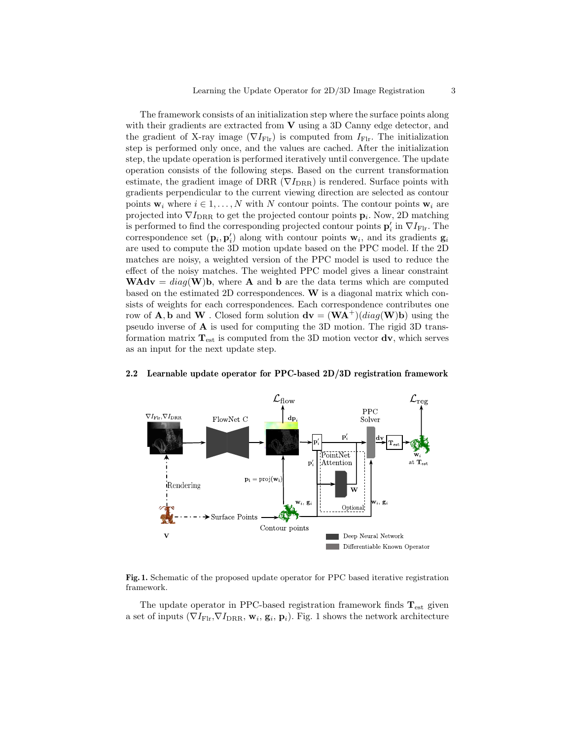The framework consists of an initialization step where the surface points along with their gradients are extracted from  $V$  using a 3D Canny edge detector, and the gradient of X-ray image ( $\nabla I_{\text{Flr}}$ ) is computed from  $I_{\text{Flr}}$ . The initialization step is performed only once, and the values are cached. After the initialization step, the update operation is performed iteratively until convergence. The update operation consists of the following steps. Based on the current transformation estimate, the gradient image of DRR ( $\nabla I_{\text{DRR}}$ ) is rendered. Surface points with gradients perpendicular to the current viewing direction are selected as contour points  $w_i$  where  $i \in 1, ..., N$  with N contour points. The contour points  $w_i$  are projected into  $\nabla I_{\text{DRR}}$  to get the projected contour points  $\mathbf{p}_i$ . Now, 2D matching is performed to find the corresponding projected contour points  $\mathbf{p}_i'$  in  $\nabla I_{\mathrm{Flr}}$ . The correspondence set  $(\mathbf{p}_i, \mathbf{p}'_i)$  along with contour points  $\mathbf{w}_i$ , and its gradients  $\mathbf{g}_i$ are used to compute the 3D motion update based on the PPC model. If the 2D matches are noisy, a weighted version of the PPC model is used to reduce the effect of the noisy matches. The weighted PPC model gives a linear constraint **WAdv** =  $diag(\mathbf{W})\mathbf{b}$ , where **A** and **b** are the data terms which are computed based on the estimated 2D correspondences. W is a diagonal matrix which consists of weights for each correspondences. Each correspondence contributes one row of **A**, **b** and **W**. Closed form solution  $d\mathbf{v} = (\mathbf{W}\mathbf{A}^+)(diag(\mathbf{W})\mathbf{b})$  using the pseudo inverse of A is used for computing the 3D motion. The rigid 3D transformation matrix  $T_{est}$  is computed from the 3D motion vector  $dv$ , which serves as an input for the next update step.



## 2.2 Learnable update operator for PPC-based 2D/3D registration framework

Fig. 1. Schematic of the proposed update operator for PPC based iterative registration framework.

The update operator in PPC-based registration framework finds  $\mathbf{T}_{\mathrm{est}}$  given a set of inputs  $(\nabla I_{\text{Flr}}, \nabla I_{\text{DRR}}, \mathbf{w}_i, \mathbf{g}_i, \mathbf{p}_i)$ . Fig. 1 shows the network architecture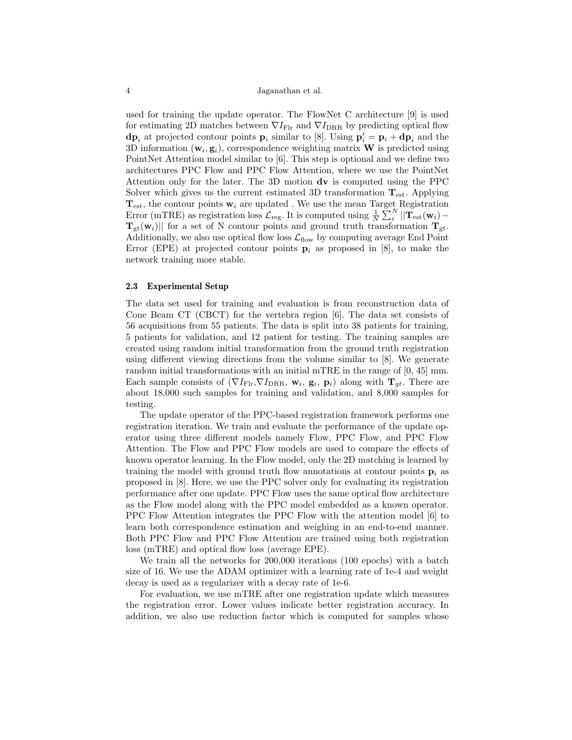used for training the update operator. The FlowNet C architecture [9] is used for estimating 2D matches between  $\nabla I_{\text{Flr}}$  and  $\nabla I_{\text{DRR}}$  by predicting optical flow  $\mathbf{dp}_i$  at projected contour points  $\mathbf{p}_i$  similar to [8]. Using  $\mathbf{p}'_i = \mathbf{p}_i + \mathbf{dp}_i$  and the 3D information  $(\mathbf{w}_i, \mathbf{g}_i)$ , correspondence weighting matrix **W** is predicted using PointNet Attention model similar to [6]. This step is optional and we define two architectures PPC Flow and PPC Flow Attention, where we use the PointNet Attention only for the later. The 3D motion dv is computed using the PPC Solver which gives us the current estimated 3D transformation  $T_{\text{est}}$ . Applying  $T_{est}$ , the contour points  $w_i$  are updated. We use the mean Target Registration Error (mTRE) as registration loss  $\mathcal{L}_{reg}$ . It is computed using  $\frac{1}{N} \sum_{i}^{N} ||\mathbf{T}_{est}(\mathbf{w}_i) \mathbf{T}_{gt}(\mathbf{w}_i)$  for a set of N contour points and ground truth transformation  $\mathbf{T}_{gt}$ . Additionally, we also use optical flow loss  $\mathcal{L}_{flow}$  by computing average End Point Error (EPE) at projected contour points  $\mathbf{p}_i$  as proposed in [8], to make the network training more stable.

#### 2.3 Experimental Setup

The data set used for training and evaluation is from reconstruction data of Cone Beam CT (CBCT) for the vertebra region [6]. The data set consists of 56 acquisitions from 55 patients. The data is split into 38 patients for training, 5 patients for validation, and 12 patient for testing. The training samples are created using random initial transformation from the ground truth registration using different viewing directions from the volume similar to [8]. We generate random initial transformations with an initial mTRE in the range of [0, 45] mm. Each sample consists of  $(\nabla I_{\text{Flr}}, \nabla I_{\text{DRR}}, \mathbf{w}_i, \mathbf{g}_i, \mathbf{p}_i)$  along with  $\mathbf{T}_{gt}$ . There are about 18,000 such samples for training and validation, and 8,000 samples for testing.

The update operator of the PPC-based registration framework performs one registration iteration. We train and evaluate the performance of the update operator using three different models namely Flow, PPC Flow, and PPC Flow Attention. The Flow and PPC Flow models are used to compare the effects of known operator learning. In the Flow model, only the 2D matching is learned by training the model with ground truth flow annotations at contour points  $p_i$  as proposed in [8]. Here, we use the PPC solver only for evaluating its registration performance after one update. PPC Flow uses the same optical flow architecture as the Flow model along with the PPC model embedded as a known operator. PPC Flow Attention integrates the PPC Flow with the attention model [6] to learn both correspondence estimation and weighing in an end-to-end manner. Both PPC Flow and PPC Flow Attention are trained using both registration loss (mTRE) and optical flow loss (average EPE).

We train all the networks for 200,000 iterations (100 epochs) with a batch size of 16. We use the ADAM optimizer with a learning rate of 1e-4 and weight decay is used as a regularizer with a decay rate of 1e-6.

For evaluation, we use mTRE after one registration update which measures the registration error. Lower values indicate better registration accuracy. In addition, we also use reduction factor which is computed for samples whose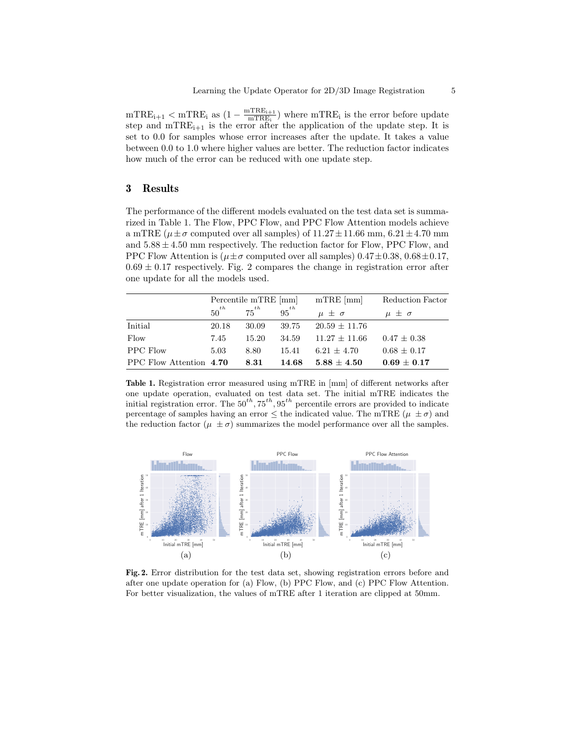$\text{mTRE}_{i+1} < \text{mTRE}_{i}$  as  $\left(1 - \frac{\text{mTRE}_{i+1}}{\text{mTRE}_{i}}\right)$  $\frac{\text{mTRE}_{i+1}}{\text{mTRE}_{i}}$  where  $\text{mTRE}_{i}$  is the error before update step and  $mTRE_{i+1}$  is the error after the application of the update step. It is set to 0.0 for samples whose error increases after the update. It takes a value between 0.0 to 1.0 where higher values are better. The reduction factor indicates how much of the error can be reduced with one update step.

## 3 Results

The performance of the different models evaluated on the test data set is summarized in Table 1. The Flow, PPC Flow, and PPC Flow Attention models achieve a mTRE ( $\mu \pm \sigma$  computed over all samples) of 11.27 $\pm$ 11.66 mm, 6.21 $\pm$ 4.70 mm and  $5.88 \pm 4.50$  mm respectively. The reduction factor for Flow, PPC Flow, and PPC Flow Attention is ( $\mu \pm \sigma$  computed over all samples) 0.47 $\pm$ 0.38, 0.68 $\pm$ 0.17,  $0.69 \pm 0.17$  respectively. Fig. 2 compares the change in registration error after one update for all the models used.

|                         | Percentile mTRE [mm] |           |           | $mTRE$ [mm]       | Reduction Factor |
|-------------------------|----------------------|-----------|-----------|-------------------|------------------|
|                         | $50^{th}$            | $75^{th}$ | $95^{th}$ | $\mu \pm \sigma$  | $\mu \pm \sigma$ |
| Initial                 | 20.18                | 30.09     | 39.75     | $20.59 \pm 11.76$ |                  |
| Flow                    | 7.45                 | 15.20     | 34.59     | $11.27 \pm 11.66$ | $0.47 \pm 0.38$  |
| PPC Flow                | 5.03                 | 8.80      | 15.41     | $6.21 \pm 4.70$   | $0.68 \pm 0.17$  |
| PPC Flow Attention 4.70 |                      | 8.31      | 14.68     | $5.88 + 4.50$     | $0.69 \pm 0.17$  |

Table 1. Registration error measured using mTRE in [mm] of different networks after one update operation, evaluated on test data set. The initial mTRE indicates the initial registration error. The  $50^{th}$ ,  $75^{th}$ ,  $95^{th}$  percentile errors are provided to indicate percentage of samples having an error  $\leq$  the indicated value. The mTRE  $(\mu \pm \sigma)$  and the reduction factor ( $\mu \pm \sigma$ ) summarizes the model performance over all the samples.



Fig. 2. Error distribution for the test data set, showing registration errors before and after one update operation for (a) Flow, (b) PPC Flow, and (c) PPC Flow Attention. For better visualization, the values of mTRE after 1 iteration are clipped at 50mm.